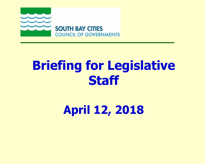

## **Briefing for Legislative Staff**

**April 12, 2018**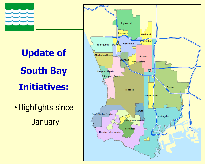

# **Update of South Bay Initiatives:**

•Highlights since **January** 

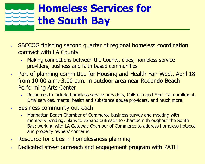### **Homeless Services for the South Bay**

- SBCCOG finishing second quarter of regional homeless coordination contract with LA County
	- Making connections between the County, cities, homeless service providers, business and faith-based communities
- **Part of planning committee for Housing and Health Fair-Wed., April 18** from 10:00 a.m.-3:00 p.m. in outdoor area near Redondo Beach Performing Arts Center
	- Resources to include homeless service providers, CalFresh and Medi-Cal enrollment, DMV services, mental health and substance abuse providers, and much more.
- **Business community outreach** 
	- Manhattan Beach Chamber of Commerce business survey and meeting with members pending; plans to expand outreach to Chambers throughout the South Bay; working with LA Gateway Chamber of Commerce to address homeless hotspot and property owners' concerns
- Resource for cities in homelessness planning
- Dedicated street outreach and engagement program with PATH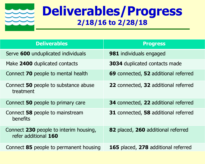

### **Deliverables/Progress 2/18/16 to 2/28/18**

| <b>Deliverables</b>                                            | <b>Progress</b>                      |
|----------------------------------------------------------------|--------------------------------------|
| Serve 600 unduplicated individuals                             | <b>981</b> individuals engaged       |
| Make 2400 duplicated contacts                                  | <b>3034</b> duplicated contacts made |
| Connect <b>70</b> people to mental health                      | 69 connected, 52 additional referred |
| Connect 50 people to substance abuse<br>treatment              | 22 connected, 32 additional referred |
| Connect 50 people to primary care                              | 34 connected, 22 additional referred |
| Connect 58 people to mainstream<br>benefits                    | 31 connected, 58 additional referred |
| Connect 230 people to interim housing,<br>refer additional 160 | 82 placed, 260 additional referred   |
| Connect 85 people to permanent housing                         | 165 placed, 278 additional referred  |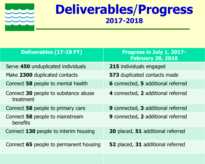

### **Deliverables**/**Progress 2017-2018**

| <b>Deliverables (17-18 FY)</b>                    | Progress in July 1, 2017-<br><b>February 28, 2018</b> |
|---------------------------------------------------|-------------------------------------------------------|
| Serve 450 unduplicated individuals                | 215 individuals engaged                               |
| Make 2300 duplicated contacts                     | <b>573</b> duplicated contacts made                   |
| Connect 58 people to mental health                | <b>6</b> connected, <b>5</b> additional referred      |
| Connect 30 people to substance abuse<br>treatment | 4 connected, 2 additional referred                    |
| Connect 58 people to primary care                 | 9 connected, 3 additional referred                    |
| Connect 58 people to mainstream<br>benefits       | <b>9</b> connected, 2 additional referred             |
| Connect 130 people to interim housing             | 20 placed, 51 additional referred                     |
| Connect 65 people to permanent housing            | 52 placed, 31 additional referred                     |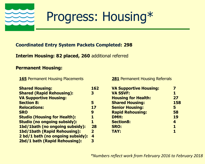

### Progress: Housing\*

#### **Coordinated Entry System Packets Completed: 298**

**Interim Housing: 82 placed, 260** additional referred

#### **Permanent Housing:**

#### **165** Permanent Housing Placements

| <b>Shared Housing:</b>              | 162              |
|-------------------------------------|------------------|
| <b>Shared (Rapid Rehousing):</b>    | 3                |
| <b>VA Supportive Housing:</b>       |                  |
| <b>Section 8:</b>                   | 5                |
| <b>Relocations:</b>                 | 17               |
| <b>SRO</b>                          | 9                |
| <b>Studio (Housing for Health):</b> | 1                |
| <b>Studio (no ongoing subsidy):</b> | 1                |
| 1bd/1bath (no ongoing subsidy):     | 28               |
| <b>1bd/1bath (Rapid Rehousing):</b> | $\overline{2}$   |
| 2 bd/1 bath (no ongoing subsidy):   | $\boldsymbol{4}$ |
| 2bd/1 bath (Rapid Rehousing):       | 3                |
|                                     |                  |

**281** Permanent Housing Referrals

| <b>VA Supportive Housing:</b> |     |
|-------------------------------|-----|
| <b>VA SSVF:</b>               | 1   |
| <b>Housing for Health:</b>    | 27  |
| <b>Shared Housing:</b>        | 158 |
| <b>Senior Housing:</b>        | 5   |
| <b>Rapid Rehousing:</b>       | 58  |
| <b>DMH:</b>                   | 19  |
| <b>Section8:</b>              | 4   |
| <b>SRO:</b>                   | 1   |
| <b>TAY:</b>                   | 1   |
|                               |     |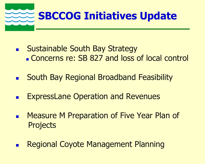

- **Example South Bay Strategy Concerns re: SB 827 and loss of local control**
- South Bay Regional Broadband Feasibility
- ExpressLane Operation and Revenues
- Measure M Preparation of Five Year Plan of **Projects**
- Regional Coyote Management Planning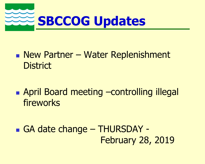

- **New Partner Water Replenishment District**
- April Board meeting –controlling illegal fireworks
- GA date change THURSDAY February 28, 2019